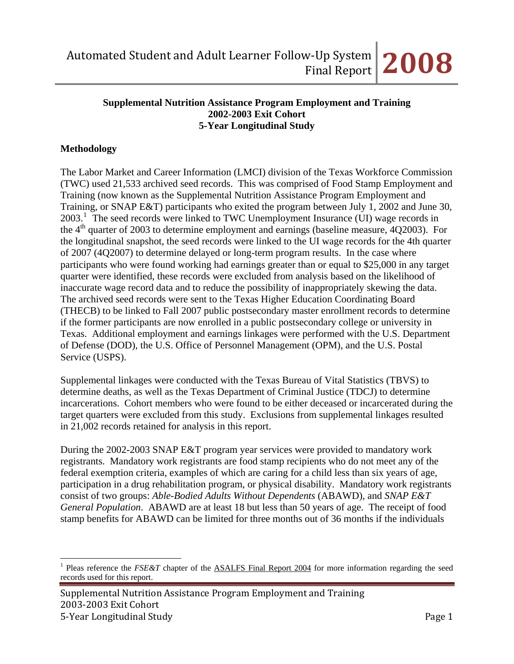#### **Supplemental Nutrition Assistance Program Employment and Training 2002-2003 Exit Cohort 5-Year Longitudinal Study**

#### **Methodology**

 $\overline{a}$ 

of 2007 (4Q2007) to determine delayed or long-term program results. In the case where The Labor Market and Career Information (LMCI) division of the Texas Workforce Commission (TWC) used 21,533 archived seed records. This was comprised of Food Stamp Employment and Training (now known as the Supplemental Nutrition Assistance Program Employment and Training, or SNAP E&T) participants who exited the program between July 1, 2002 and June 30, 2003.<sup>[1](#page-0-0)</sup> The seed records were linked to TWC Unemployment Insurance (UI) wage records in the  $4<sup>th</sup>$  quarter of 2003 to determine employment and earnings (baseline measure, 4Q2003). For the longitudinal snapshot, the seed records were linked to the UI wage records for the 4th quarter participants who were found working had earnings greater than or equal to \$25,000 in any target quarter were identified, these records were excluded from analysis based on the likelihood of inaccurate wage record data and to reduce the possibility of inappropriately skewing the data. The archived seed records were sent to the Texas Higher Education Coordinating Board (THECB) to be linked to Fall 2007 public postsecondary master enrollment records to determine if the former participants are now enrolled in a public postsecondary college or university in Texas. Additional employment and earnings linkages were performed with the U.S. Department of Defense (DOD), the U.S. Office of Personnel Management (OPM), and the U.S. Postal Service (USPS).

Supplemental linkages were conducted with the Texas Bureau of Vital Statistics (TBVS) to determine deaths, as well as the Texas Department of Criminal Justice (TDCJ) to determine incarcerations. Cohort members who were found to be either deceased or incarcerated during the target quarters were excluded from this study. Exclusions from supplemental linkages resulted in 21,002 records retained for analysis in this report.

During the 2002-2003 SNAP E&T program year services were provided to mandatory work registrants. Mandatory work registrants are food stamp recipients who do not meet any of the federal exemption criteria, examples of which are caring for a child less than six years of age, participation in a drug rehabilitation program, or physical disability. Mandatory work registrants consist of two groups: *Able-Bodied Adults Without Dependents* (ABAWD), and *SNAP E&T General Population*. ABAWD are at least 18 but less than 50 years of age. The receipt of food stamp benefits for ABAWD can be limited for three months out of 36 months if the individuals

<span id="page-0-0"></span><sup>&</sup>lt;sup>1</sup> Pleas reference the *FSE&T* chapter of the **ASALFS** Final Report 2004 for more information regarding the seed records used for this report.

Supplemental Nutrition Assistance Program Employment and Training 2003‐2003 Exit Cohort 5‐Year Longitudinal Study Page 1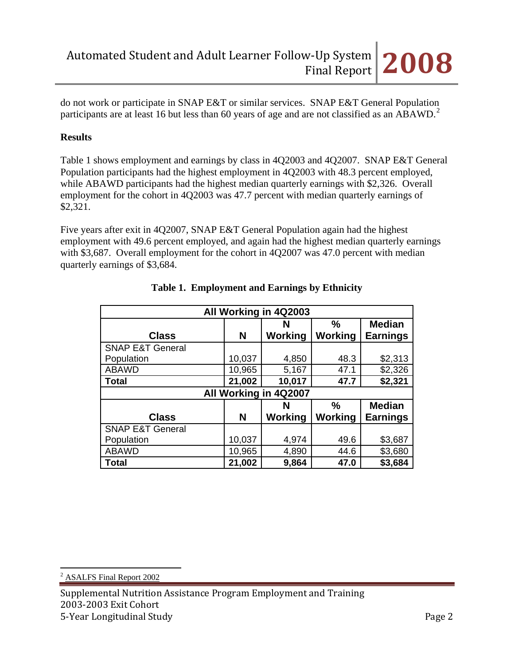do not work or participate in SNAP E&T or similar services. SNAP E&T General Population participants are at least 16 but less than 60 years of age and are not classified as an ABAWD.<sup>[2](#page-1-0)</sup>

# **Results**

Table 1 shows employment and earnings by class in 4Q2003 and 4Q2007. SNAP E&T General Population participants had the highest employment in 4Q2003 with 48.3 percent employed, while ABAWD participants had the highest median quarterly earnings with \$2,326. Overall employment for the cohort in 4Q2003 was 47.7 percent with median quarterly earnings of \$2,321.

Five years after exit in 4Q2007, SNAP E&T General Population again had the highest employment with 49.6 percent employed, and again had the highest median quarterly earnings with \$3,687. Overall employment for the cohort in 4Q2007 was 47.0 percent with median quarterly earnings of \$3,684.

| All Working in 4Q2003               |                         |         |                |                 |  |  |  |  |
|-------------------------------------|-------------------------|---------|----------------|-----------------|--|--|--|--|
| <b>Median</b><br>$\frac{0}{0}$<br>N |                         |         |                |                 |  |  |  |  |
| <b>Class</b>                        | N                       | Working | <b>Working</b> | <b>Earnings</b> |  |  |  |  |
| <b>SNAP E&amp;T General</b>         |                         |         |                |                 |  |  |  |  |
| Population                          | 10,037                  | 4,850   | 48.3           | \$2,313         |  |  |  |  |
| <b>ABAWD</b>                        | 10,965                  | 5,167   | 47.1           | \$2,326         |  |  |  |  |
| <b>Total</b>                        | 21,002                  | 10,017  | 47.7           | \$2,321         |  |  |  |  |
| All Working in 4Q2007               |                         |         |                |                 |  |  |  |  |
|                                     | %<br><b>Median</b><br>N |         |                |                 |  |  |  |  |
| <b>Class</b>                        | N                       | Working | Working        | <b>Earnings</b> |  |  |  |  |
| <b>SNAP E&amp;T General</b>         |                         |         |                |                 |  |  |  |  |
| Population                          | 10,037                  | 4,974   | 49.6           | \$3,687         |  |  |  |  |
| <b>ABAWD</b>                        | 10,965                  | 4,890   | 44.6           | \$3,680         |  |  |  |  |
| <b>Total</b>                        | 21,002                  | 9,864   | 47.0           | \$3,684         |  |  |  |  |

# **Table 1. Employment and Earnings by Ethnicity**

 $\overline{a}$ 2 ASALFS Final Report 2002

<span id="page-1-0"></span>Supplemental Nutrition Assistance Program Employment and Training 2003‐2003 Exit Cohort 5‐Year Longitudinal Study Page 2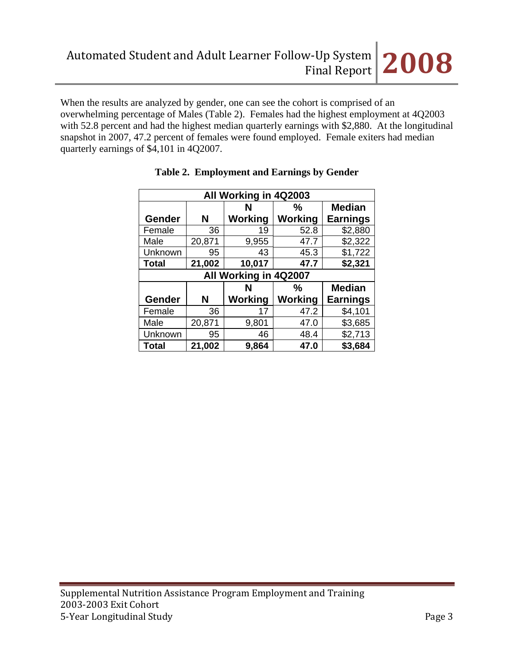When the results are analyzed by gender, one can see the cohort is comprised of an overwhelming percentage of Males (Table 2). Females had the highest employment at 4Q2003 with 52.8 percent and had the highest median quarterly earnings with \$2,880. At the longitudinal snapshot in 2007, 47.2 percent of females were found employed. Female exiters had median quarterly earnings of \$4,101 in 4Q2007.

| All Working in 4Q2003   |        |         |                |                 |  |  |
|-------------------------|--------|---------|----------------|-----------------|--|--|
| <b>Median</b><br>℅<br>N |        |         |                |                 |  |  |
| Gender                  | N      | Working | <b>Working</b> | <b>Earnings</b> |  |  |
| Female                  | 36     | 19      | 52.8           | \$2,880         |  |  |
| Male                    | 20,871 | 9,955   | 47.7           | \$2,322         |  |  |
| Unknown                 | 95     | 43      | 45.3           | \$1,722         |  |  |
| <b>Total</b>            | 21,002 | 10,017  | 47.7           | \$2,321         |  |  |
| All Working in 4Q2007   |        |         |                |                 |  |  |
|                         |        |         |                |                 |  |  |
|                         |        | N       | $\frac{0}{0}$  | <b>Median</b>   |  |  |
| Gender                  | N      | Working | <b>Working</b> | <b>Earnings</b> |  |  |
| Female                  | 36     | 17      | 47.2           | \$4,101         |  |  |
| Male                    | 20,871 | 9,801   | 47.0           | \$3,685         |  |  |
| Unknown                 | 95     | 46      | 48.4           | \$2,713         |  |  |

# **Table 2. Employment and Earnings by Gender**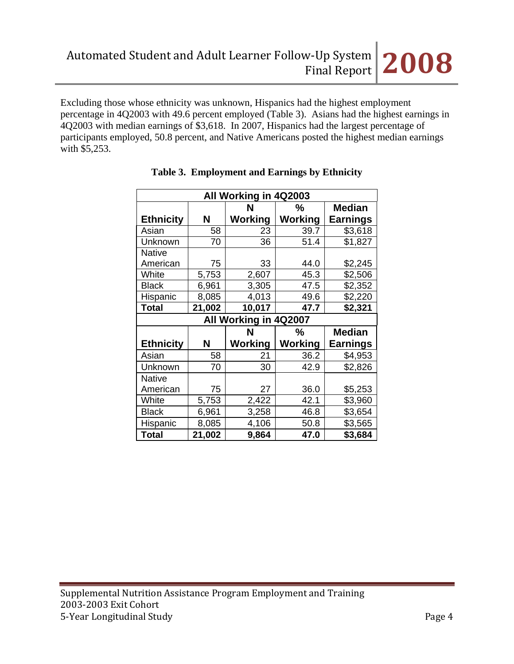Excluding those whose ethnicity was unknown, Hispanics had the highest employment percentage in 4Q2003 with 49.6 percent employed (Table 3). Asians had the highest earnings in 4Q2003 with median earnings of \$3,618. In 2007, Hispanics had the largest percentage of participants employed, 50.8 percent, and Native Americans posted the highest median earnings with \$5,253.

| All Working in 4Q2003   |                         |                |         |                 |  |  |  |
|-------------------------|-------------------------|----------------|---------|-----------------|--|--|--|
|                         | <b>Median</b><br>N<br>℅ |                |         |                 |  |  |  |
| <b>Ethnicity</b>        | N                       | <b>Working</b> | Working | <b>Earnings</b> |  |  |  |
| Asian                   | 58                      | 23             | 39.7    | \$3,618         |  |  |  |
| Unknown                 | 70                      | 36             | 51.4    | \$1,827         |  |  |  |
| <b>Native</b>           |                         |                |         |                 |  |  |  |
| American                | 75                      | 33             | 44.0    | \$2,245         |  |  |  |
| White                   | 5,753                   | 2,607          | 45.3    | \$2,506         |  |  |  |
| <b>Black</b>            | 6,961                   | 3,305          | 47.5    | \$2,352         |  |  |  |
| Hispanic                | 8,085                   | 4,013          | 49.6    | \$2,220         |  |  |  |
| <b>Total</b>            | 21,002                  | 10,017         | 47.7    | \$2,321         |  |  |  |
| All Working in 4Q2007   |                         |                |         |                 |  |  |  |
| <b>Median</b><br>N<br>% |                         |                |         |                 |  |  |  |
| <b>Ethnicity</b>        | N                       | <b>Working</b> | Working | <b>Earnings</b> |  |  |  |
| Asian                   | 58                      | 21             | 36.2    | \$4,953         |  |  |  |
| Unknown                 | 70                      | 30             | 42.9    | \$2,826         |  |  |  |
| <b>Native</b>           |                         |                |         |                 |  |  |  |
| American                | 75                      | 27             | 36.0    | \$5,253         |  |  |  |
| White                   | 5,753                   | 2,422          | 42.1    | \$3,960         |  |  |  |
| <b>Black</b>            | 6,961                   | 3,258          | 46.8    | \$3,654         |  |  |  |
| Hispanic                | 8,085                   | 4,106          | 50.8    | \$3,565         |  |  |  |
| <b>Total</b>            | 21,002                  | 9,864          | 47.0    | \$3,684         |  |  |  |

|  | Table 3. Employment and Earnings by Ethnicity |  |  |
|--|-----------------------------------------------|--|--|
|--|-----------------------------------------------|--|--|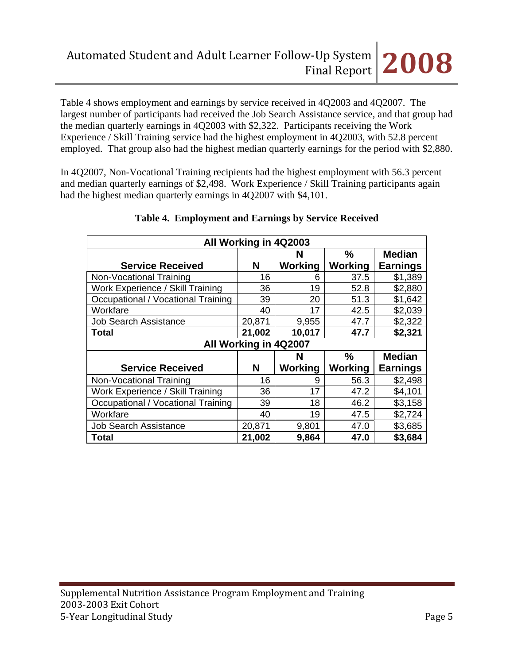Table 4 shows employment and earnings by service received in 4Q2003 and 4Q2007. The largest number of participants had received the Job Search Assistance service, and that group had the median quarterly earnings in 4Q2003 with \$2,322. Participants receiving the Work Experience / Skill Training service had the highest employment in 4Q2003, with 52.8 percent employed. That group also had the highest median quarterly earnings for the period with \$2,880.

In 4Q2007, Non-Vocational Training recipients had the highest employment with 56.3 percent and median quarterly earnings of \$2,498. Work Experience / Skill Training participants again had the highest median quarterly earnings in 4Q2007 with \$4,101.

| All Working in 4Q2003              |        |               |               |                 |  |  |  |  |
|------------------------------------|--------|---------------|---------------|-----------------|--|--|--|--|
|                                    | N      | $\frac{9}{6}$ | <b>Median</b> |                 |  |  |  |  |
| <b>Service Received</b>            | N      | Working       | Working       | <b>Earnings</b> |  |  |  |  |
| Non-Vocational Training            | 16     | 6             | 37.5          | \$1,389         |  |  |  |  |
| Work Experience / Skill Training   | 36     | 19            | 52.8          | \$2,880         |  |  |  |  |
| Occupational / Vocational Training | 39     | 20            | 51.3          | \$1,642         |  |  |  |  |
| Workfare                           | 40     | 17            | 42.5          | \$2,039         |  |  |  |  |
| <b>Job Search Assistance</b>       | 20,871 | 9,955         | 47.7          | \$2,322         |  |  |  |  |
| Total                              | 21,002 | 10,017        | 47.7          | \$2,321         |  |  |  |  |
| All Working in 4Q2007              |        |               |               |                 |  |  |  |  |
| %<br><b>Median</b><br>N            |        |               |               |                 |  |  |  |  |
| <b>Service Received</b>            | N      | Working       | Working       | <b>Earnings</b> |  |  |  |  |
|                                    |        |               |               |                 |  |  |  |  |
| Non-Vocational Training            | 16     | 9             | 56.3          | \$2,498         |  |  |  |  |
| Work Experience / Skill Training   | 36     | 17            | 47.2          | \$4,101         |  |  |  |  |
| Occupational / Vocational Training | 39     | 18            | 46.2          | \$3,158         |  |  |  |  |
| Workfare                           | 40     | 19            | 47.5          | \$2,724         |  |  |  |  |
| <b>Job Search Assistance</b>       | 20,871 | 9,801         | 47.0          | \$3,685         |  |  |  |  |

# **Table 4. Employment and Earnings by Service Received**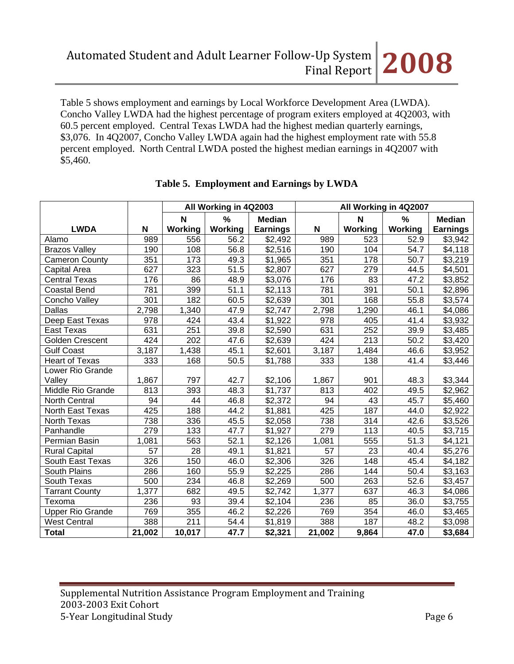Table 5 shows employment and earnings by Local Workforce Development Area (LWDA). Concho Valley LWDA had the highest percentage of program exiters employed at 4Q2003, with 60.5 percent employed. Central Texas LWDA had the highest median quarterly earnings, \$3,076. In 4Q2007, Concho Valley LWDA again had the highest employment rate with 55.8 percent employed. North Central LWDA posted the highest median earnings in 4Q2007 with \$5,460.

|                         |                     | All Working in 4Q2003 |                   | All Working in 4Q2007 |             |         |                |                     |
|-------------------------|---------------------|-----------------------|-------------------|-----------------------|-------------|---------|----------------|---------------------|
|                         |                     | N                     | %                 | <b>Median</b>         |             | N       | %              | <b>Median</b>       |
| <b>LWDA</b>             | N                   | Working               | Working           | <b>Earnings</b>       | $\mathbf N$ | Working | <b>Working</b> | <b>Earnings</b>     |
| Alamo                   | 989                 | 556                   | 56.2              | \$2,492               | 989         | 523     | 52.9           | \$3,942             |
| <b>Brazos Valley</b>    | 190                 | 108                   | 56.8              | \$2,516               | 190         | 104     | 54.7           | \$4,118             |
| <b>Cameron County</b>   | 351                 | 173                   | 49.3              | \$1,965               | 351         | 178     | 50.7           | \$3,219             |
| Capital Area            | 627                 | 323                   | 51.5              | \$2,807               | 627         | 279     | 44.5           | \$4,501             |
| <b>Central Texas</b>    | 176                 | 86                    | 48.9              | \$3,076               | 176         | 83      | 47.2           | \$3,852             |
| <b>Coastal Bend</b>     | 781                 | 399                   | $\overline{51}.1$ | \$2,113               | 781         | 391     | 50.1           | $\sqrt{2,896}$      |
| Concho Valley           | 301                 | 182                   | 60.5              | \$2,639               | 301         | 168     | 55.8           | \$3,574             |
| Dallas                  | 2,798               | 1,340                 | 47.9              | $\overline{$}2,747$   | 2,798       | 1,290   | 46.1           | \$4,086             |
| Deep East Texas         | 978                 | 424                   | 43.4              | \$1,922               | 978         | 405     | 41.4           | \$3,932             |
| East Texas              | 631                 | 251                   | 39.8              | \$2,590               | 631         | 252     | 39.9           | $\overline{$3,485}$ |
| <b>Golden Crescent</b>  | 424                 | 202                   | 47.6              | \$2,639               | 424         | 213     | 50.2           | \$3,420             |
| <b>Gulf Coast</b>       | 3,187               | 1,438                 | 45.1              | \$2,601               | 3,187       | 1,484   | 46.6           | \$3,952             |
| <b>Heart of Texas</b>   | 333                 | 168                   | 50.5              | \$1,788               | 333         | 138     | 41.4           | \$3,446             |
| Lower Rio Grande        |                     |                       |                   |                       |             |         |                |                     |
| Valley                  | 1,867               | 797                   | 42.7              | \$2,106               | 1,867       | 901     | 48.3           | \$3,344             |
| Middle Rio Grande       | 813                 | 393                   | 48.3              | \$1,737               | 813         | 402     | 49.5           | \$2,962             |
| North Central           | 94                  | 44                    | 46.8              | \$2,372               | 94          | 43      | 45.7           | \$5,460             |
| North East Texas        | 425                 | 188                   | 44.2              | \$1,881               | 425         | 187     | 44.0           | \$2,922             |
| North Texas             | 738                 | 336                   | 45.5              | \$2,058               | 738         | 314     | 42.6           | \$3,526             |
| Panhandle               | 279                 | 133                   | 47.7              | \$1,927               | 279         | 113     | 40.5           | \$3,715             |
| Permian Basin           | 1,081               | 563                   | 52.1              | \$2,126               | 1,081       | 555     | 51.3           | \$4,121             |
| <b>Rural Capital</b>    | 57                  | 28                    | 49.1              | \$1,821               | 57          | 23      | 40.4           | \$5,276             |
| South East Texas        | 326                 | 150                   | 46.0              | \$2,306               | 326         | 148     | 45.4           | \$4,182             |
| South Plains            | 286                 | 160                   | 55.9              | \$2,225               | 286         | 144     | 50.4           | $\overline{$3,163}$ |
| South Texas             | 500                 | 234                   | 46.8              | \$2,269               | 500         | 263     | 52.6           | \$3,457             |
| <b>Tarrant County</b>   | $\overline{1}, 377$ | 682                   | 49.5              | \$2,742               | 1,377       | 637     | 46.3           | \$4,086             |
| Texoma                  | 236                 | 93                    | 39.4              | \$2,104               | 236         | 85      | 36.0           | \$3,755             |
| <b>Upper Rio Grande</b> | 769                 | 355                   | 46.2              | \$2,226               | 769         | 354     | 46.0           | \$3,465             |
| <b>West Central</b>     | 388                 | 211                   | 54.4              | \$1,819               | 388         | 187     | 48.2           | \$3,098             |
| <b>Total</b>            | 21,002              | 10,017                | 47.7              | \$2,321               | 21,002      | 9,864   | 47.0           | \$3,684             |

#### **Table 5. Employment and Earnings by LWDA**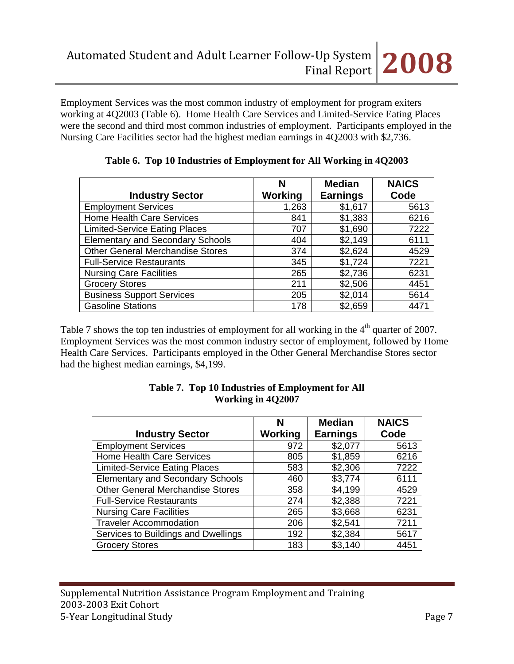Employment Services was the most common industry of employment for program exiters working at 4Q2003 (Table 6). Home Health Care Services and Limited-Service Eating Places were the second and third most common industries of employment. Participants employed in the Nursing Care Facilities sector had the highest median earnings in 4Q2003 with \$2,736.

|                                         | N       | <b>Median</b>   | <b>NAICS</b> |
|-----------------------------------------|---------|-----------------|--------------|
| <b>Industry Sector</b>                  | Working | <b>Earnings</b> | Code         |
| <b>Employment Services</b>              | 1,263   | \$1,617         | 5613         |
| <b>Home Health Care Services</b>        | 841     | \$1,383         | 6216         |
| <b>Limited-Service Eating Places</b>    | 707     | \$1,690         | 7222         |
| <b>Elementary and Secondary Schools</b> | 404     | \$2,149         | 6111         |
| <b>Other General Merchandise Stores</b> | 374     | \$2,624         | 4529         |
| <b>Full-Service Restaurants</b>         | 345     | \$1,724         | 7221         |
| <b>Nursing Care Facilities</b>          | 265     | \$2,736         | 6231         |
| <b>Grocery Stores</b>                   | 211     | \$2,506         | 4451         |
| <b>Business Support Services</b>        | 205     | \$2,014         | 5614         |
| <b>Gasoline Stations</b>                | 178     | \$2,659         | 4471         |

#### **Table 6. Top 10 Industries of Employment for All Working in 4Q2003**

Table 7 shows the top ten industries of employment for all working in the  $4<sup>th</sup>$  quarter of 2007. Employment Services was the most common industry sector of employment, followed by Home Health Care Services. Participants employed in the Other General Merchandise Stores sector had the highest median earnings, \$4,199.

|                                         | N       | <b>Median</b>   | <b>NAICS</b> |
|-----------------------------------------|---------|-----------------|--------------|
| <b>Industry Sector</b>                  | Working | <b>Earnings</b> | Code         |
| <b>Employment Services</b>              | 972     | \$2,077         | 5613         |
| <b>Home Health Care Services</b>        | 805     | \$1,859         | 6216         |
| <b>Limited-Service Eating Places</b>    | 583     | \$2,306         | 7222         |
| <b>Elementary and Secondary Schools</b> | 460     | \$3,774         | 6111         |
| <b>Other General Merchandise Stores</b> | 358     | \$4,199         | 4529         |
| <b>Full-Service Restaurants</b>         | 274     | \$2,388         | 7221         |
| <b>Nursing Care Facilities</b>          | 265     | \$3,668         | 6231         |
| <b>Traveler Accommodation</b>           | 206     | \$2,541         | 7211         |
| Services to Buildings and Dwellings     | 192     | \$2,384         | 5617         |
| <b>Grocery Stores</b>                   | 183     | \$3,140         | 4451         |

#### **Table 7. Top 10 Industries of Employment for All Working in 4Q2007**